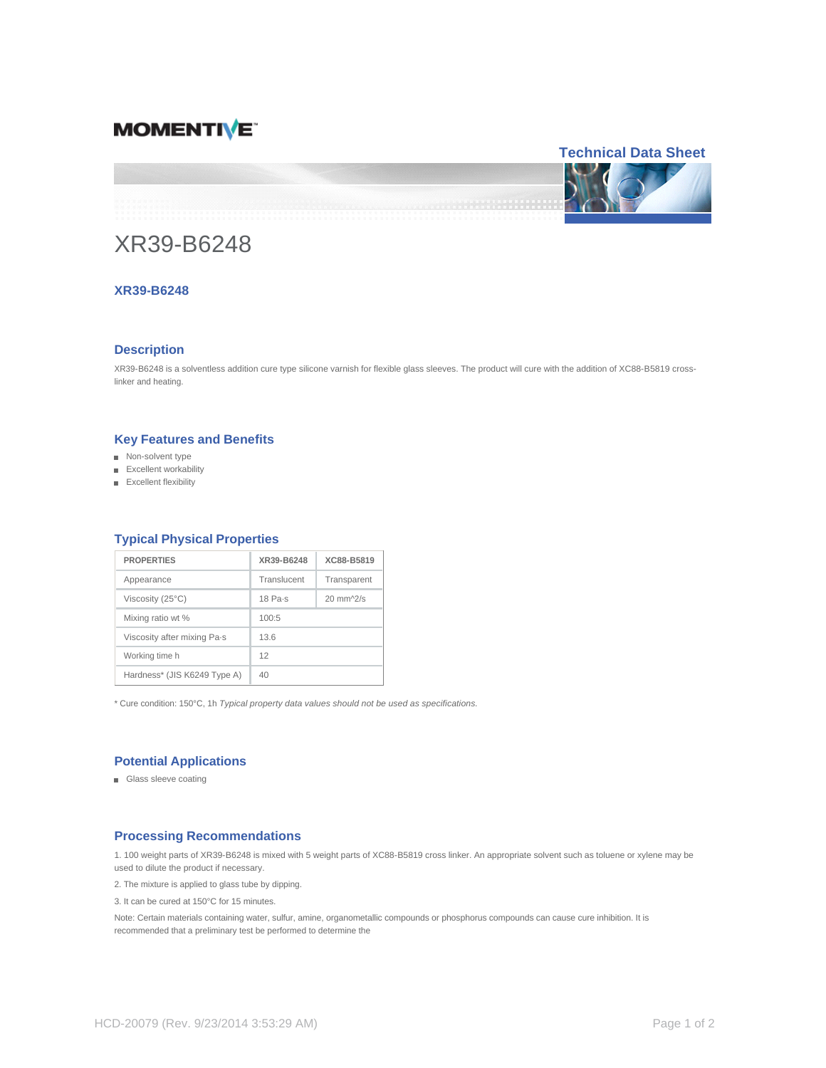## **MOMENTIVE**



# XR39-B6248

## **XR39-B6248**

## **Description**

XR39-B6248 is a solventless addition cure type silicone varnish for flexible glass sleeves. The product will cure with the addition of XC88-B5819 crosslinker and heating.

## **Key Features and Benefits**

- Non-solvent type
- Excellent workability
- Excellent flexibility

| <b>PROPERTIES</b>            | XR39-B6248        | XC88-B5819           |
|------------------------------|-------------------|----------------------|
| Appearance                   | Translucent       | Transparent          |
| Viscosity (25°C)             | $18$ Pa $\cdot$ s | $20 \text{ mm}$ /2/s |
| Mixing ratio wt %            | 100:5             |                      |
| Viscosity after mixing Pa-s  | 13.6              |                      |
| Working time h               | 12                |                      |
| Hardness* (JIS K6249 Type A) | 40                |                      |

## **Typical Physical Properties**

\* Cure condition: 150°C, 1h Typical property data values should not be used as specifications.

## **Potential Applications**

■ Glass sleeve coating

## **Processing Recommendations**

1. 100 weight parts of XR39-B6248 is mixed with 5 weight parts of XC88-B5819 cross linker. An appropriate solvent such as toluene or xylene may be used to dilute the product if necessary.

2. The mixture is applied to glass tube by dipping.

3. It can be cured at 150°C for 15 minutes.

Note: Certain materials containing water, sulfur, amine, organometallic compounds or phosphorus compounds can cause cure inhibition. It is recommended that a preliminary test be performed to determine the